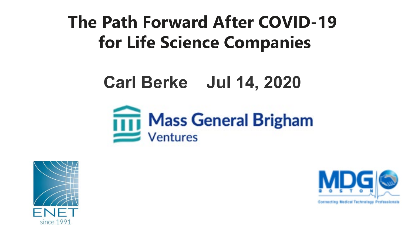**The Path Forward After COVID-19 for Life Science Companies**

# **Carl Berke Jul 14, 2020**





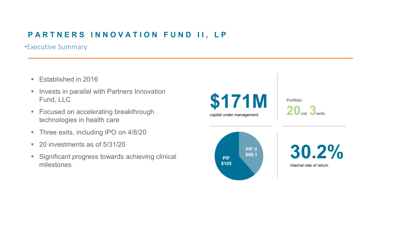#### **PARTNERS INNOVATION FUND II, LP**

•Executive Summary

- **Established in 2016**
- **Invests in parallel with Partners Innovation** Fund, LLC
- **Focused on accelerating breakthrough** technologies in health care
- **Three exits, including IPO on 4/8/20**
- 20 investments as of 5/31/20
- **Significant progress towards achieving clinical** milestones



Portfolio: **20**cos **3**exits



**30.2%** internal rate of return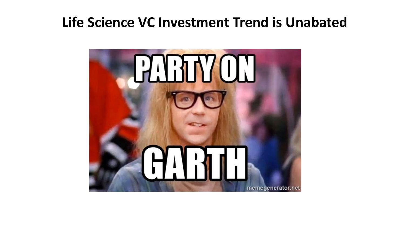### **Life Science VC Investment Trend is Unabated**

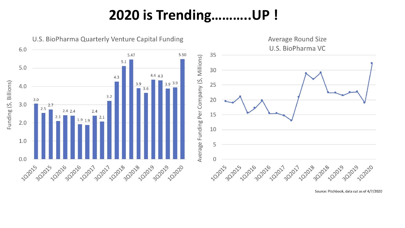### **2020 is Trending………..UP !**



Source: Pitchbook, data cut as of 4/7/2020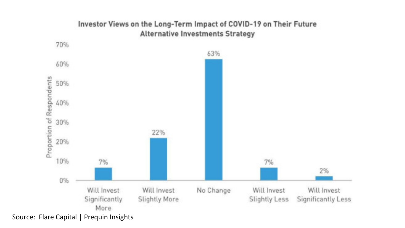

#### Investor Views on the Long-Term Impact of COVID-19 on Their Future **Alternative Investments Strategy**

Source: Flare Capital | Prequin Insights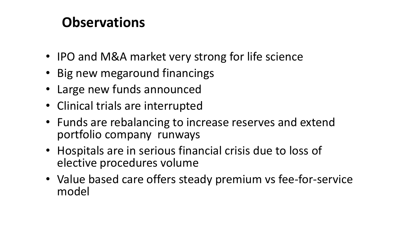### **Observations**

- IPO and M&A market very strong for life science
- Big new megaround financings
- Large new funds announced
- Clinical trials are interrupted
- Funds are rebalancing to increase reserves and extend portfolio company runways
- Hospitals are in serious financial crisis due to loss of elective procedures volume
- Value based care offers steady premium vs fee-for-service model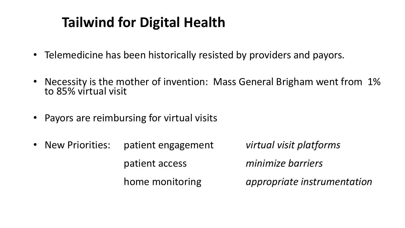## **Tailwind for Digital Health**

- Telemedicine has been historically resisted by providers and payors.
- Necessity is the mother of invention: Mass General Brigham went from 1% to 85% virtual visit
- Payors are reimbursing for virtual visits
- New Priorities: patient engagement *virtual visit platforms* patient access *minimize barriers* home monitoring *appropriate instrumentation*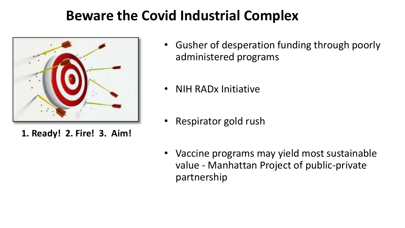### **Beware the Covid Industrial Complex**



**1. Ready! 2. Fire! 3. Aim!**

- Gusher of desperation funding through poorly administered programs
- NIH RADx Initiative
- Respirator gold rush
- Vaccine programs may yield most sustainable value - Manhattan Project of public-private partnership